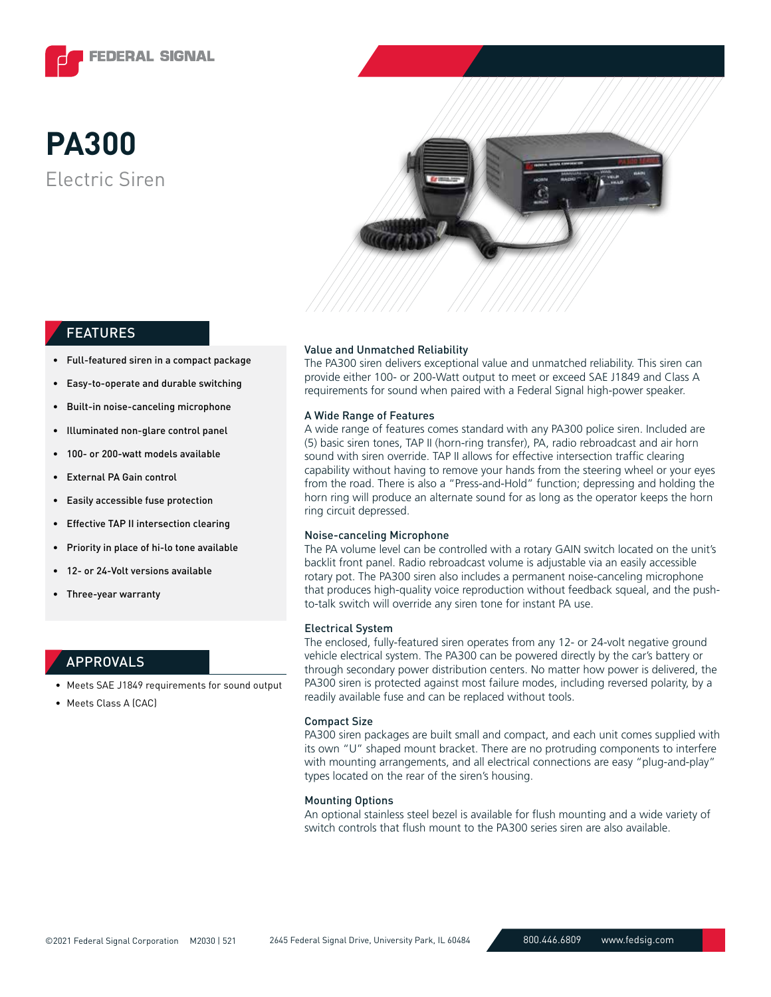

# Electric Siren **PA300**



## FEATURES

- Full-featured siren in a compact package
- Easy-to-operate and durable switching
- Built-in noise-canceling microphone
- Illuminated non-glare control panel
- 100- or 200-watt models available
- External PA Gain control
- Easily accessible fuse protection
- Effective TAP II intersection clearing
- Priority in place of hi-lo tone available
- 12- or 24-Volt versions available
- Three-year warranty

#### APPROVALS

- Meets SAE J1849 requirements for sound output
- Meets Class A (CAC)

#### Value and Unmatched Reliability

The PA300 siren delivers exceptional value and unmatched reliability. This siren can provide either 100- or 200-Watt output to meet or exceed SAE J1849 and Class A requirements for sound when paired with a Federal Signal high-power speaker.

#### A Wide Range of Features

A wide range of features comes standard with any PA300 police siren. Included are (5) basic siren tones, TAP II (horn-ring transfer), PA, radio rebroadcast and air horn sound with siren override. TAP II allows for effective intersection traffic clearing capability without having to remove your hands from the steering wheel or your eyes from the road. There is also a "Press-and-Hold" function; depressing and holding the horn ring will produce an alternate sound for as long as the operator keeps the horn ring circuit depressed.

#### Noise-canceling Microphone

The PA volume level can be controlled with a rotary GAIN switch located on the unit's backlit front panel. Radio rebroadcast volume is adjustable via an easily accessible rotary pot. The PA300 siren also includes a permanent noise-canceling microphone that produces high-quality voice reproduction without feedback squeal, and the pushto-talk switch will override any siren tone for instant PA use.

#### Electrical System

The enclosed, fully-featured siren operates from any 12- or 24-volt negative ground vehicle electrical system. The PA300 can be powered directly by the car's battery or through secondary power distribution centers. No matter how power is delivered, the PA300 siren is protected against most failure modes, including reversed polarity, by a readily available fuse and can be replaced without tools.

#### Compact Size

PA300 siren packages are built small and compact, and each unit comes supplied with its own "U" shaped mount bracket. There are no protruding components to interfere with mounting arrangements, and all electrical connections are easy "plug-and-play" types located on the rear of the siren's housing.

#### Mounting Options

An optional stainless steel bezel is available for flush mounting and a wide variety of switch controls that flush mount to the PA300 series siren are also available.